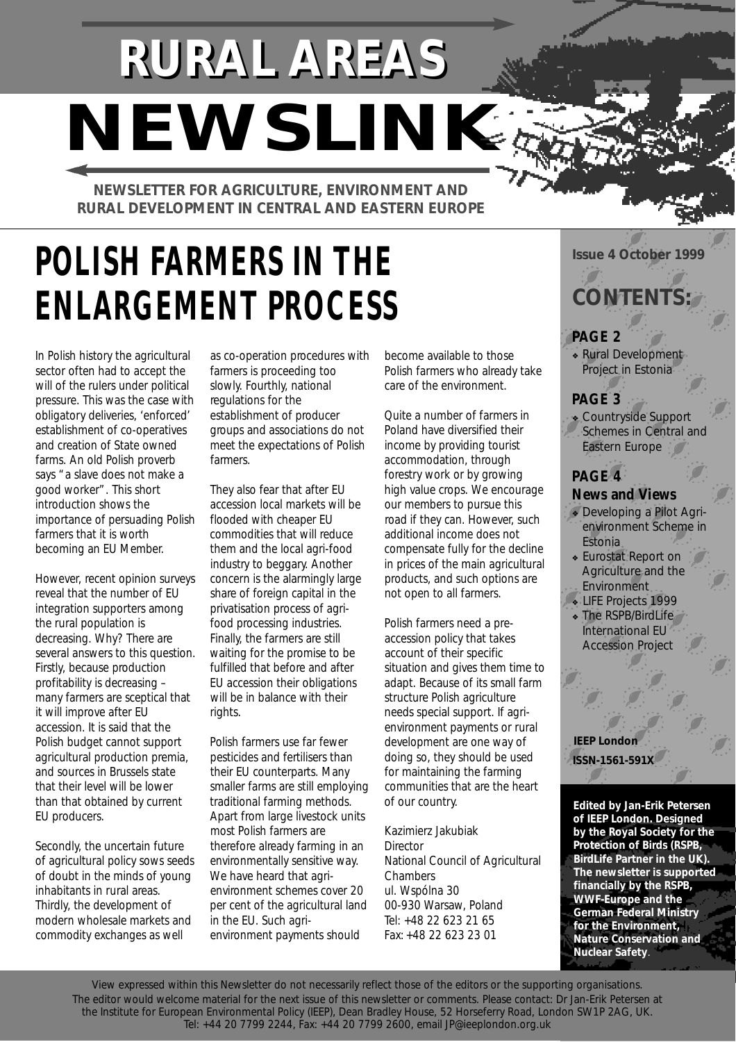# **RURAL AREAS** *NEWSLINK*

**NEWSLETTER FOR AGRICULTURE, ENVIRONMENT AND RURAL DEVELOPMENT IN CENTRAL AND EASTERN EUROPE**

# **POLISH FARMERS IN THE ENLARGEMENT PROCESS** CONTENTS:

In Polish history the agricultural sector often had to accept the will of the rulers under political pressure. This was the case with obligatory deliveries, 'enforced' establishment of co-operatives and creation of State owned farms. An old Polish proverb says "a slave does not make a good worker". This short introduction shows the importance of persuading Polish farmers that it is worth becoming an EU Member.

However, recent opinion surveys reveal that the number of EU integration supporters among the rural population is decreasing. Why? There are several answers to this question. Firstly, because production profitability is decreasing – many farmers are sceptical that it will improve after EU accession. It is said that the Polish budget cannot support agricultural production premia, and sources in Brussels state that their level will be lower than that obtained by current EU producers.

Secondly, the uncertain future of agricultural policy sows seeds of doubt in the minds of young inhabitants in rural areas. Thirdly, the development of modern wholesale markets and commodity exchanges as well

as co-operation procedures with farmers is proceeding too slowly. Fourthly, national regulations for the establishment of producer groups and associations do not meet the expectations of Polish farmers.

They also fear that after EU accession local markets will be flooded with cheaper EU commodities that will reduce them and the local agri-food industry to beggary. Another concern is the alarmingly large share of foreign capital in the privatisation process of agrifood processing industries. Finally, the farmers are still waiting for the promise to be fulfilled that before and after EU accession their obligations will be in balance with their rights.

Polish farmers use far fewer pesticides and fertilisers than their EU counterparts. Many smaller farms are still employing traditional farming methods. Apart from large livestock units most Polish farmers are therefore already farming in an environmentally sensitive way. We have heard that agrienvironment schemes cover 20 per cent of the agricultural land in the EU. Such agrienvironment payments should

become available to those Polish farmers who already take care of the environment.

Quite a number of farmers in Poland have diversified their income by providing tourist accommodation, through forestry work or by growing high value crops. We encourage our members to pursue this road if they can. However, such additional income does not compensate fully for the decline in prices of the main agricultural products, and such options are not open to all farmers.

Polish farmers need a preaccession policy that takes account of their specific situation and gives them time to adapt. Because of its small farm structure Polish agriculture needs special support. If agrienvironment payments or rural development are one way of doing so, they should be used for maintaining the farming communities that are the heart of our country.

Kazimierz Jakubiak **Director** National Council of Agricultural **Chambers** ul. Wspólna 30 00-930 Warsaw, Poland Tel: +48 22 623 21 65 Fax: +48 22 623 23 01

# **Issue 4 October 1999**

### **PAGE 2**

❖ Rural Development Project in Estonia-

#### **PAGE 3**

❖ Countryside Support Schemes in Central and Eastern Europe

#### **PAGE 4 News and Views**

- ❖ Developing a Pilot Agrienvironment Scheme in Estonia
- ❖ Eurostat Report on Agriculture and the Environment
- ❖ LIFE Projects 1999
- The RSPB/BirdLife International EU Accession Project

**IEEP London ISSN-1561-591X**

**Edited by Jan-Erik Petersen of IEEP London. Designed by the Royal Society for the Protection of Birds (RSPB, BirdLife Partner in the UK). The newsletter is supported financially by the RSPB, WWF-Europe and the German Federal Ministry for the Environment, Nature Conservation and Nuclear Safety**.

View expressed within this Newsletter do not necessarily reflect those of the editors or the supporting organisations. The editor would welcome material for the next issue of this newsletter or comments. Please contact: Dr Jan-Erik Petersen at the Institute for European Environmental Policy (IEEP), Dean Bradley House, 52 Horseferry Road, London SW1P 2AG, UK. Tel: +44 20 7799 2244, Fax: +44 20 7799 2600, email JP@ieeplondon.org.uk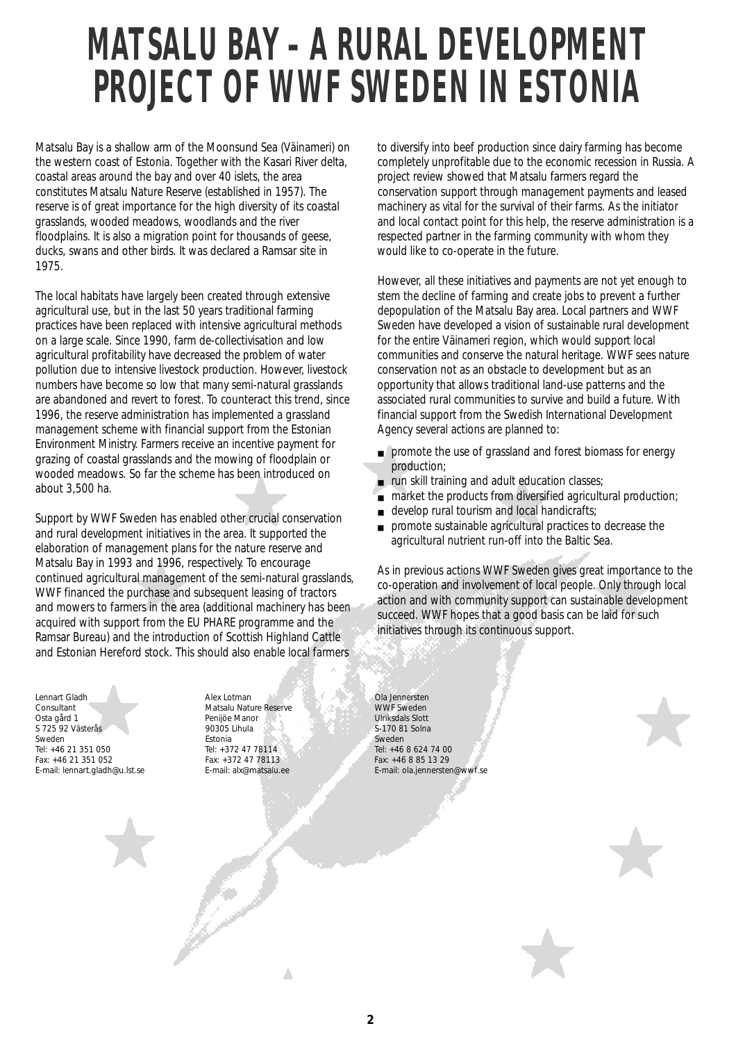# **MATSALU BAY – A RURAL DEVELOPMENT PROJECT OF WWF SWEDEN IN ESTONIA**

Matsalu Bay is a shallow arm of the Moonsund Sea (Väinameri) on the western coast of Estonia. Together with the Kasari River delta, coastal areas around the bay and over 40 islets, the area constitutes Matsalu Nature Reserve (established in 1957). The reserve is of great importance for the high diversity of its coastal grasslands, wooded meadows, woodlands and the river floodplains. It is also a migration point for thousands of geese, ducks, swans and other birds. It was declared a Ramsar site in 1975.

The local habitats have largely been created through extensive agricultural use, but in the last 50 years traditional farming practices have been replaced with intensive agricultural methods on a large scale. Since 1990, farm de-collectivisation and low agricultural profitability have decreased the problem of water pollution due to intensive livestock production. However, livestock numbers have become so low that many semi-natural grasslands are abandoned and revert to forest. To counteract this trend, since 1996, the reserve administration has implemented a grassland management scheme with financial support from the Estonian Environment Ministry. Farmers receive an incentive payment for grazing of coastal grasslands and the mowing of floodplain or wooded meadows. So far the scheme has been introduced on about 3,500 ha.

Support by WWF Sweden has enabled other crucial conservation and rural development initiatives in the area. It supported the elaboration of management plans for the nature reserve and Matsalu Bay in 1993 and 1996, respectively. To encourage continued agricultural management of the semi-natural grasslands, WWF financed the purchase and subsequent leasing of tractors and mowers to farmers in the area (additional machinery has been acquired with support from the EU PHARE programme and the Ramsar Bureau) and the introduction of Scottish Highland Cattle and Estonian Hereford stock. This should also enable local farmers

**SARROW** 

Lennart Gladh Consultant Osta gård 1 S 725 92 Västerås Sweden Tel: +46 21 351 050 Fax: +46 21 351 052 E-mail: lennart.gladh@u.lst.se Alex Lotman Matsalu Nature Reserve Penijöe Manor 90305 Lihula Estonia Tel: +372 47 78114 Fax: +372 47 78113 E-mail: alx@matsalu.ee

Δ

to diversify into beef production since dairy farming has become completely unprofitable due to the economic recession in Russia. A project review showed that Matsalu farmers regard the conservation support through management payments and leased machinery as vital for the survival of their farms. As the initiator and local contact point for this help, the reserve administration is a respected partner in the farming community with whom they would like to co-operate in the future.

However, all these initiatives and payments are not yet enough to stem the decline of farming and create jobs to prevent a further depopulation of the Matsalu Bay area. Local partners and WWF Sweden have developed a vision of sustainable rural development for the entire Väinameri region, which would support local communities and conserve the natural heritage. WWF sees nature conservation not as an obstacle to development but as an opportunity that allows traditional land-use patterns and the associated rural communities to survive and build a future. With financial support from the Swedish International Development Agency several actions are planned to:

- promote the use of grassland and forest biomass for energy production;
- run skill training and adult education classes;
- market the products from diversified agricultural production;
- develop rural tourism and local handicrafts;
- promote sustainable agricultural practices to decrease the agricultural nutrient run-off into the Baltic Sea.

As in previous actions WWF Sweden gives great importance to the co-operation and involvement of local people. Only through local action and with community support can sustainable development succeed. WWF hopes that a good basis can be laid for such initiatives through its continuous support.

Ola Jennersten WWF Sweden Ulriksdals Slott S-170 81 Solna Sweden Tel: +46 8 624 74 00 Fax: +46 8 85 13 29 E-mail: ola.jennersten@wwf.se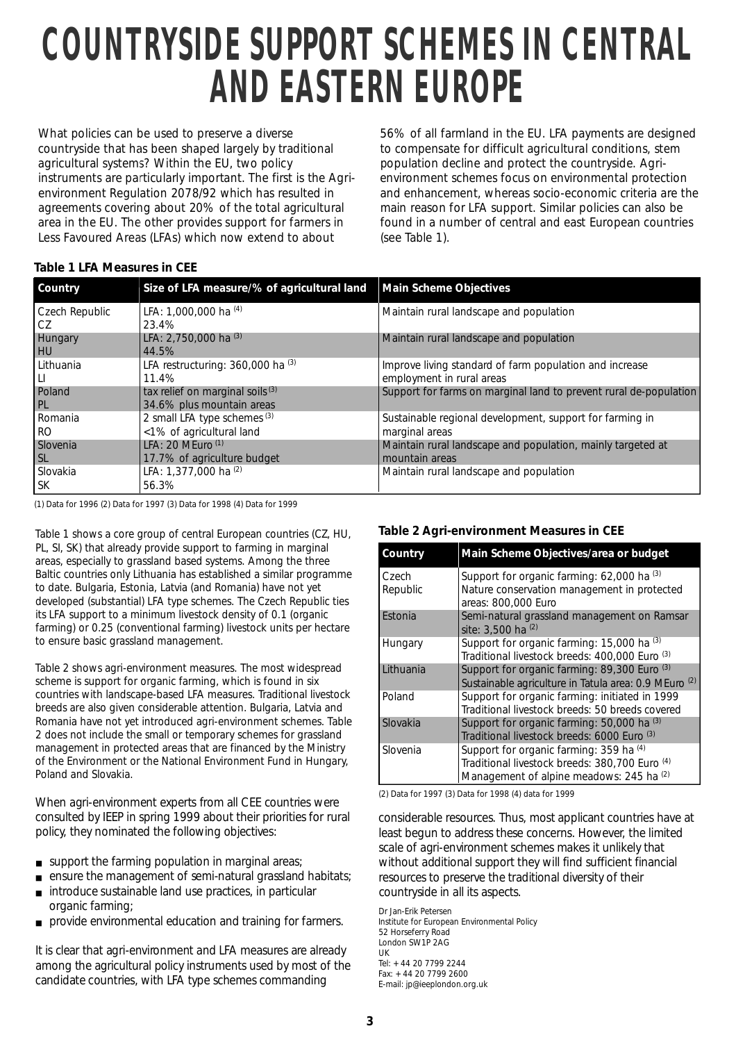# **COUNTRYSIDE SUPPORT SCHEMES IN CENTRAL AND EASTERN EUROPE**

What policies can be used to preserve a diverse countryside that has been shaped largely by traditional agricultural systems? Within the EU, two policy instruments are particularly important. The first is the Agrienvironment Regulation 2078/92 which has resulted in agreements covering about 20% of the total agricultural area in the EU. The other provides support for farmers in Less Favoured Areas (LFAs) which now extend to about

56% of all farmland in the EU. LFA payments are designed to compensate for difficult agricultural conditions, stem population decline and protect the countryside. Agrienvironment schemes focus on environmental protection and enhancement, whereas socio-economic criteria are the main reason for LFA support. Similar policies can also be found in a number of central and east European countries (see Table 1).

#### **Table 1 LFA Measures in CEE**

| Country                | Size of LFA measure/% of agricultural land                    | <b>Main Scheme Objectives</b>                                                        |
|------------------------|---------------------------------------------------------------|--------------------------------------------------------------------------------------|
| Czech Republic<br>I CZ | LFA: 1,000,000 ha (4)<br>23.4%                                | Maintain rural landscape and population                                              |
| Hungary<br>HU          | LFA: 2,750,000 ha (3)<br>44.5%                                | Maintain rural landscape and population                                              |
| Lithuania<br>IЦ        | LFA restructuring: 360,000 ha (3)<br>11.4%                    | Improve living standard of farm population and increase<br>employment in rural areas |
| Poland<br>PL           | tax relief on marginal soils (3)<br>34.6% plus mountain areas | Support for farms on marginal land to prevent rural de-population                    |
| Romania                | 2 small LFA type schemes (3)                                  | Sustainable regional development, support for farming in                             |
| <b>RO</b><br>Slovenia  | <1% of agricultural land<br>LFA: 20 MEuro <sup>(1)</sup>      | marginal areas<br>Maintain rural landscape and population, mainly targeted at        |
| <b>SL</b>              | 17.7% of agriculture budget                                   | mountain areas                                                                       |
| Slovakia<br><b>SK</b>  | LFA: 1,377,000 ha (2)<br>56.3%                                | Maintain rural landscape and population                                              |

(1) Data for 1996 (2) Data for 1997 (3) Data for 1998 (4) Data for 1999

*Table 1 shows a core group of central European countries (CZ, HU, PL, SI, SK) that already provide support to farming in marginal areas, especially to grassland based systems. Among the three Baltic countries only Lithuania has established a similar programme to date. Bulgaria, Estonia, Latvia (and Romania) have not yet developed (substantial) LFA type schemes. The Czech Republic ties its LFA support to a minimum livestock density of 0.1 (organic farming) or 0.25 (conventional farming) livestock units per hectare to ensure basic grassland management.* 

*Table 2 shows agri-environment measures. The most widespread scheme is support for organic farming, which is found in six countries with landscape-based LFA measures. Traditional livestock breeds are also given considerable attention. Bulgaria, Latvia and Romania have not yet introduced agri-environment schemes. Table 2 does not include the small or temporary schemes for grassland management in protected areas that are financed by the Ministry of the Environment or the National Environment Fund in Hungary, Poland and Slovakia.*

When agri-environment experts from all CEE countries were consulted by IEEP in spring 1999 about their priorities for rural policy, they nominated the following objectives:

- $\blacksquare$  support the farming population in marginal areas;
- ensure the management of semi-natural grassland habitats;
- $\blacksquare$  introduce sustainable land use practices, in particular organic farming:
- provide environmental education and training for farmers.

It is clear that agri-environment and LFA measures are already among the agricultural policy instruments used by most of the candidate countries, with LFA type schemes commanding

#### **Table 2 Agri-environment Measures in CEE**

| Country        | Main Scheme Objectives/area or budget                              |  |
|----------------|--------------------------------------------------------------------|--|
| Czech          | Support for organic farming: 62,000 ha (3)                         |  |
| Republic       | Nature conservation management in protected<br>areas: 800,000 Euro |  |
| Estonia        | Semi-natural grassland management on Ramsar<br>site: 3.500 ha (2)  |  |
| <b>Hungary</b> | Support for organic farming: 15,000 ha (3)                         |  |
|                | Traditional livestock breeds: 400,000 Euro <sup>(3)</sup>          |  |
| Lithuania      | Support for organic farming: 89,300 Euro (3)                       |  |
|                | Sustainable agriculture in Tatula area: 0.9 MEuro <sup>(2)</sup>   |  |
| Poland         | Support for organic farming: initiated in 1999                     |  |
|                | Traditional livestock breeds: 50 breeds covered                    |  |
| Slovakia       | Support for organic farming: 50,000 ha (3)                         |  |
|                | Traditional livestock breeds: 6000 Euro (3)                        |  |
| Slovenia       | Support for organic farming: 359 ha (4)                            |  |
|                | Traditional livestock breeds: 380,700 Euro (4)                     |  |
|                | Management of alpine meadows: 245 ha (2)                           |  |

(2) Data for 1997 (3) Data for 1998 (4) data for 1999

considerable resources. Thus, most applicant countries have at least begun to address these concerns. However, the limited scale of agri-environment schemes makes it unlikely that without additional support they will find sufficient financial resources to preserve the traditional diversity of their countryside in all its aspects.

Dr Jan-Erik Petersen Institute for European Environmental Policy 52 Horseferry Road London SW1P 2AG UK Tel: + 44 20 7799 2244 Fax: + 44 20 7799 2600 E-mail: jp@ieeplondon.org.uk